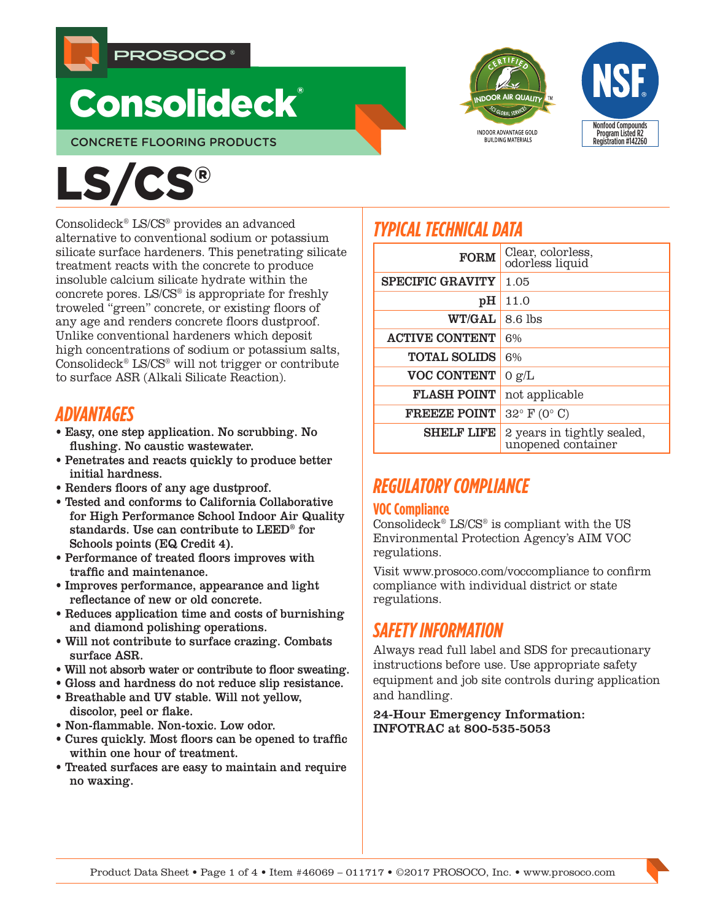

# **Consolideck®**

CONCRETE FLOORING PRODUCTS





# LS/CS®

Consolideck® LS/CS® provides an advanced alternative to conventional sodium or potassium silicate surface hardeners. This penetrating silicate treatment reacts with the concrete to produce insoluble calcium silicate hydrate within the concrete pores. LS/CS® is appropriate for freshly troweled "green" concrete, or existing floors of any age and renders concrete floors dustproof. Unlike conventional hardeners which deposit high concentrations of sodium or potassium salts, Consolideck® LS/CS® will not trigger or contribute to surface ASR (Alkali Silicate Reaction).

# *ADVANTAGES*

- Easy, one step application. No scrubbing. No flushing. No caustic wastewater.
- Penetrates and reacts quickly to produce better initial hardness.
- Renders floors of any age dustproof.
- Tested and conforms to California Collaborative for High Performance School Indoor Air Quality standards. Use can contribute to LEED® for Schools points (EQ Credit 4).
- Performance of treated floors improves with traffic and maintenance.
- Improves performance, appearance and light reflectance of new or old concrete.
- Reduces application time and costs of burnishing and diamond polishing operations.
- Will not contribute to surface crazing. Combats surface ASR.
- Will not absorb water or contribute to floor sweating.
- Gloss and hardness do not reduce slip resistance.
- Breathable and UV stable. Will not yellow, discolor, peel or flake.
- Non-flammable. Non-toxic. Low odor.
- Cures quickly. Most floors can be opened to traffic within one hour of treatment.
- Treated surfaces are easy to maintain and require no waxing.

# *TYPICAL TECHNICAL DATA*

| <b>FORM</b>             | Clear, colorless,<br>odorless liquid             |
|-------------------------|--------------------------------------------------|
| <b>SPECIFIC GRAVITY</b> | 1.05                                             |
| pH                      | 11.0                                             |
| WT/GAL                  | $8.6$ lbs                                        |
| <b>ACTIVE CONTENT</b>   | 6%                                               |
| <b>TOTAL SOLIDS</b>     | 6%                                               |
| <b>VOC CONTENT</b>      | 0 g/L                                            |
| <b>FLASH POINT</b>      | not applicable                                   |
| <b>FREEZE POINT</b>     | $32^{\circ}$ F (0° C)                            |
| <b>SHELF LIFE</b>       | 2 years in tightly sealed,<br>unopened container |

# *REGULATORY COMPLIANCE*

## **VOC Compliance**

Consolideck® LS/CS® is compliant with the US Environmental Protection Agency's AIM VOC regulations.

Visit www.prosoco.com/voccompliance to confirm compliance with individual district or state regulations.

# *SAFETY INFORMATION*

Always read full label and SDS for precautionary instructions before use. Use appropriate safety equipment and job site controls during application and handling.

24-Hour Emergency Information: INFOTRAC at 800-535-5053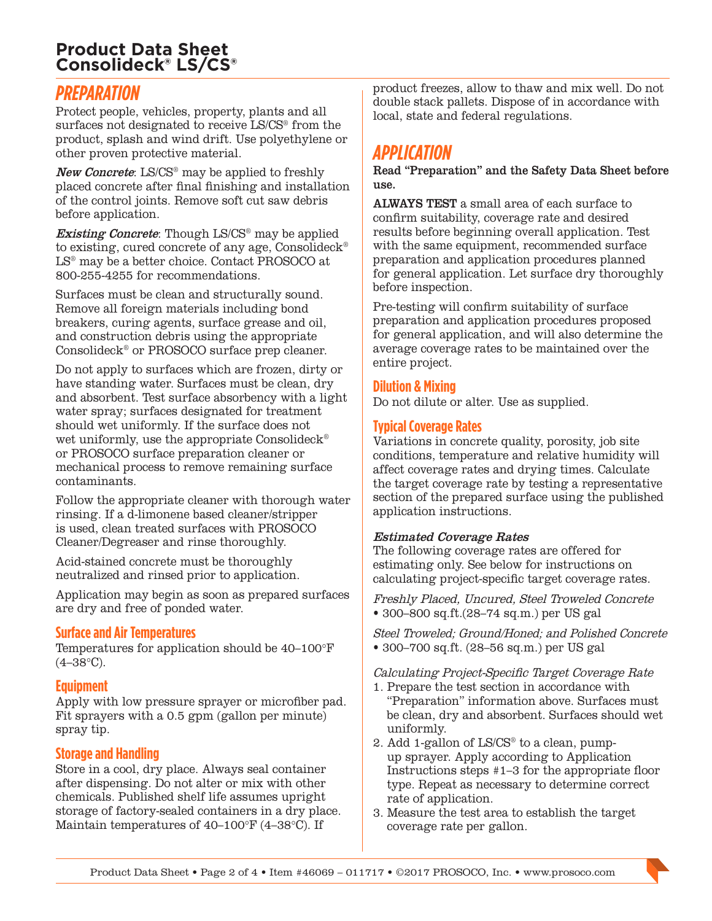## **Product Data Sheet Consolideck® LS/CS®**

## *PREPARATION*

Protect people, vehicles, property, plants and all surfaces not designated to receive LS/CS® from the product, splash and wind drift. Use polyethylene or other proven protective material.

New Concrete: LS/CS<sup>®</sup> may be applied to freshly placed concrete after final finishing and installation of the control joints. Remove soft cut saw debris before application.

**Existing Concrete:** Though LS/CS<sup>®</sup> may be applied to existing, cured concrete of any age, Consolideck® LS® may be a better choice. Contact PROSOCO at 800-255-4255 for recommendations.

Surfaces must be clean and structurally sound. Remove all foreign materials including bond breakers, curing agents, surface grease and oil, and construction debris using the appropriate Consolideck® or PROSOCO surface prep cleaner.

Do not apply to surfaces which are frozen, dirty or have standing water. Surfaces must be clean, dry and absorbent. Test surface absorbency with a light water spray; surfaces designated for treatment should wet uniformly. If the surface does not wet uniformly, use the appropriate Consolideck<sup>®</sup> or PROSOCO surface preparation cleaner or mechanical process to remove remaining surface contaminants.

Follow the appropriate cleaner with thorough water rinsing. If a d-limonene based cleaner/stripper is used, clean treated surfaces with PROSOCO Cleaner/Degreaser and rinse thoroughly.

Acid-stained concrete must be thoroughly neutralized and rinsed prior to application.

Application may begin as soon as prepared surfaces are dry and free of ponded water.

## **Surface and Air Temperatures**

Temperatures for application should be 40–100°F  $(4-38\textdegree C)$ .

## **Equipment**

Apply with low pressure sprayer or microfiber pad. Fit sprayers with a 0.5 gpm (gallon per minute) spray tip.

## **Storage and Handling**

Store in a cool, dry place. Always seal container after dispensing. Do not alter or mix with other chemicals. Published shelf life assumes upright storage of factory-sealed containers in a dry place. Maintain temperatures of 40–100°F (4–38°C). If

product freezes, allow to thaw and mix well. Do not double stack pallets. Dispose of in accordance with local, state and federal regulations.

## *APPLICATION*

Read "Preparation" and the Safety Data Sheet before use.

ALWAYS TEST a small area of each surface to confirm suitability, coverage rate and desired results before beginning overall application. Test with the same equipment, recommended surface preparation and application procedures planned for general application. Let surface dry thoroughly before inspection.

Pre-testing will confirm suitability of surface preparation and application procedures proposed for general application, and will also determine the average coverage rates to be maintained over the entire project.

## **Dilution & Mixing**

Do not dilute or alter. Use as supplied.

## **Typical Coverage Rates**

Variations in concrete quality, porosity, job site conditions, temperature and relative humidity will affect coverage rates and drying times. Calculate the target coverage rate by testing a representative section of the prepared surface using the published application instructions.

## Estimated Coverage Rates

The following coverage rates are offered for estimating only. See below for instructions on calculating project-specific target coverage rates.

Freshly Placed, Uncured, Steel Troweled Concrete • 300–800 sq.ft.(28–74 sq.m.) per US gal

Steel Troweled; Ground/Honed; and Polished Concrete • 300–700 sq.ft. (28–56 sq.m.) per US gal

Calculating Project-Specific Target Coverage Rate

- 1. Prepare the test section in accordance with "Preparation" information above. Surfaces must be clean, dry and absorbent. Surfaces should wet uniformly.
- 2. Add 1-gallon of LS/CS® to a clean, pumpup sprayer. Apply according to Application Instructions steps #1–3 for the appropriate floor type. Repeat as necessary to determine correct rate of application.
- 3. Measure the test area to establish the target coverage rate per gallon.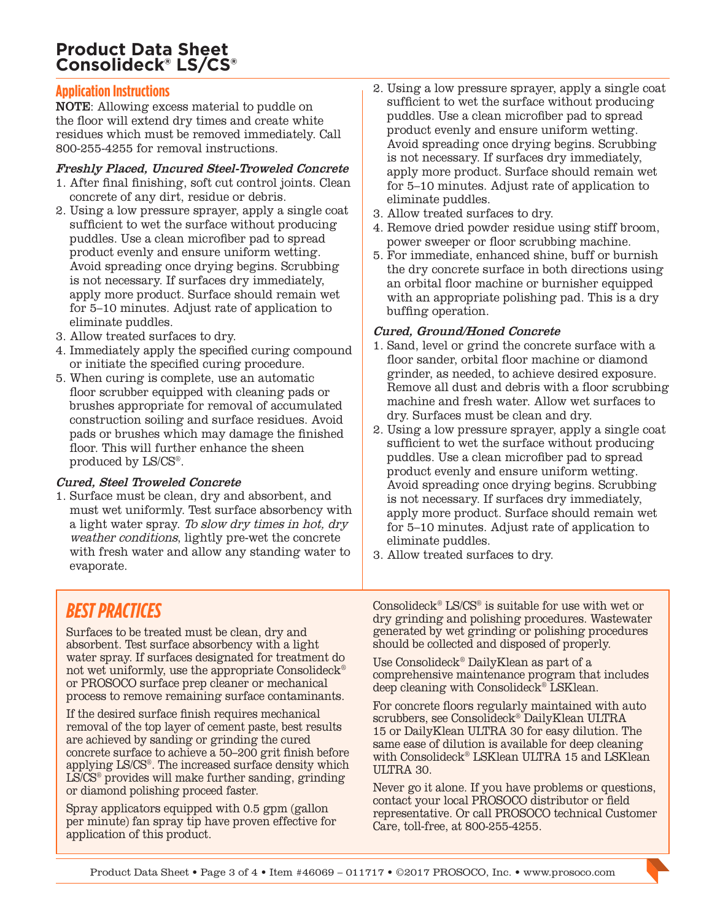## **Product Data Sheet Consolideck® LS/CS®**

## **Application Instructions**

NOTE: Allowing excess material to puddle on the floor will extend dry times and create white residues which must be removed immediately. Call 800-255-4255 for removal instructions.

#### Freshly Placed, Uncured Steel-Troweled Concrete

- 1. After final finishing, soft cut control joints. Clean concrete of any dirt, residue or debris.
- 2. Using a low pressure sprayer, apply a single coat sufficient to wet the surface without producing puddles. Use a clean microfiber pad to spread product evenly and ensure uniform wetting. Avoid spreading once drying begins. Scrubbing is not necessary. If surfaces dry immediately, apply more product. Surface should remain wet for 5–10 minutes. Adjust rate of application to eliminate puddles.
- 3. Allow treated surfaces to dry.
- 4. Immediately apply the specified curing compound or initiate the specified curing procedure.
- 5. When curing is complete, use an automatic floor scrubber equipped with cleaning pads or brushes appropriate for removal of accumulated construction soiling and surface residues. Avoid pads or brushes which may damage the finished floor. This will further enhance the sheen produced by LS/CS®.

#### Cured, Steel Troweled Concrete

1. Surface must be clean, dry and absorbent, and must wet uniformly. Test surface absorbency with a light water spray. To slow dry times in hot, dry weather conditions, lightly pre-wet the concrete with fresh water and allow any standing water to evaporate.

- 2. Using a low pressure sprayer, apply a single coat sufficient to wet the surface without producing puddles. Use a clean microfiber pad to spread product evenly and ensure uniform wetting. Avoid spreading once drying begins. Scrubbing is not necessary. If surfaces dry immediately, apply more product. Surface should remain wet for 5–10 minutes. Adjust rate of application to eliminate puddles.
- 3. Allow treated surfaces to dry.
- 4. Remove dried powder residue using stiff broom, power sweeper or floor scrubbing machine.
- 5. For immediate, enhanced shine, buff or burnish the dry concrete surface in both directions using an orbital floor machine or burnisher equipped with an appropriate polishing pad. This is a dry buffing operation.

#### Cured, Ground/Honed Concrete

- 1. Sand, level or grind the concrete surface with a floor sander, orbital floor machine or diamond grinder, as needed, to achieve desired exposure. Remove all dust and debris with a floor scrubbing machine and fresh water. Allow wet surfaces to dry. Surfaces must be clean and dry.
- 2. Using a low pressure sprayer, apply a single coat sufficient to wet the surface without producing puddles. Use a clean microfiber pad to spread product evenly and ensure uniform wetting. Avoid spreading once drying begins. Scrubbing is not necessary. If surfaces dry immediately, apply more product. Surface should remain wet for 5–10 minutes. Adjust rate of application to eliminate puddles.
- 3. Allow treated surfaces to dry.

# *BEST PRACTICES*

Surfaces to be treated must be clean, dry and absorbent. Test surface absorbency with a light water spray. If surfaces designated for treatment do not wet uniformly, use the appropriate Consolideck® or PROSOCO surface prep cleaner or mechanical process to remove remaining surface contaminants.

If the desired surface finish requires mechanical removal of the top layer of cement paste, best results are achieved by sanding or grinding the cured concrete surface to achieve a 50–200 grit finish before applying LS/CS®. The increased surface density which LS/CS® provides will make further sanding, grinding or diamond polishing proceed faster.

Spray applicators equipped with 0.5 gpm (gallon per minute) fan spray tip have proven effective for application of this product.

Consolideck® LS/CS® is suitable for use with wet or dry grinding and polishing procedures. Wastewater generated by wet grinding or polishing procedures should be collected and disposed of properly.

Use Consolideck® DailyKlean as part of a comprehensive maintenance program that includes deep cleaning with Consolideck® LSKlean.

For concrete floors regularly maintained with auto scrubbers, see Consolideck® DailyKlean ULTRA 15 or DailyKlean ULTRA 30 for easy dilution. The same ease of dilution is available for deep cleaning with Consolideck® LSKlean ULTRA 15 and LSKlean ULTRA 30.

Never go it alone. If you have problems or questions, contact your local PROSOCO distributor or field representative. Or call PROSOCO technical Customer Care, toll-free, at 800-255-4255.